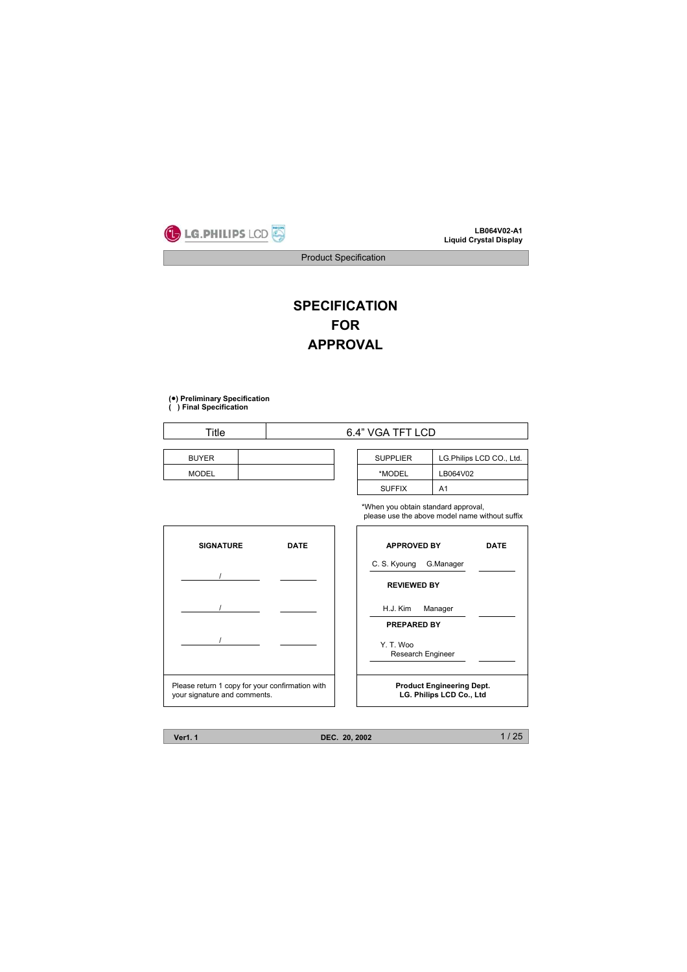

Product Specification

# **SPECIFICATION FOR APPROVAL**

# **(**ထ**) Preliminary Specification**

**( ) Final Specification**

 $\overline{1}$ 

| Title        |  | 6.4" VGA TFT LCD |                 |  |
|--------------|--|------------------|-----------------|--|
| <b>BUYER</b> |  |                  | <b>SUPPLIER</b> |  |
| <b>MODEL</b> |  |                  | *MODEL          |  |

| <b>SUPPLIER</b> | LG.Philips LCD CO., Ltd. |
|-----------------|--------------------------|
| *MODEL          | LB064V02                 |
| <b>SUFFIX</b>   | A1                       |

\*When you obtain standard approval, please use the above model name without suffix

| <b>SIGNATURE</b>                                                                | <b>APPROVED BY</b><br><b>DATE</b> |                                                              | <b>DATE</b> |
|---------------------------------------------------------------------------------|-----------------------------------|--------------------------------------------------------------|-------------|
|                                                                                 |                                   | C. S. Kyoung<br>G.Manager<br><b>REVIEWED BY</b>              |             |
|                                                                                 |                                   | H.J. Kim<br>Manager<br><b>PREPARED BY</b>                    |             |
|                                                                                 |                                   | Y. T. Woo<br>Research Engineer                               |             |
| Please return 1 copy for your confirmation with<br>your signature and comments. |                                   | <b>Product Engineering Dept.</b><br>LG. Philips LCD Co., Ltd |             |

**Ver1. 1 DEC. 20, 2002**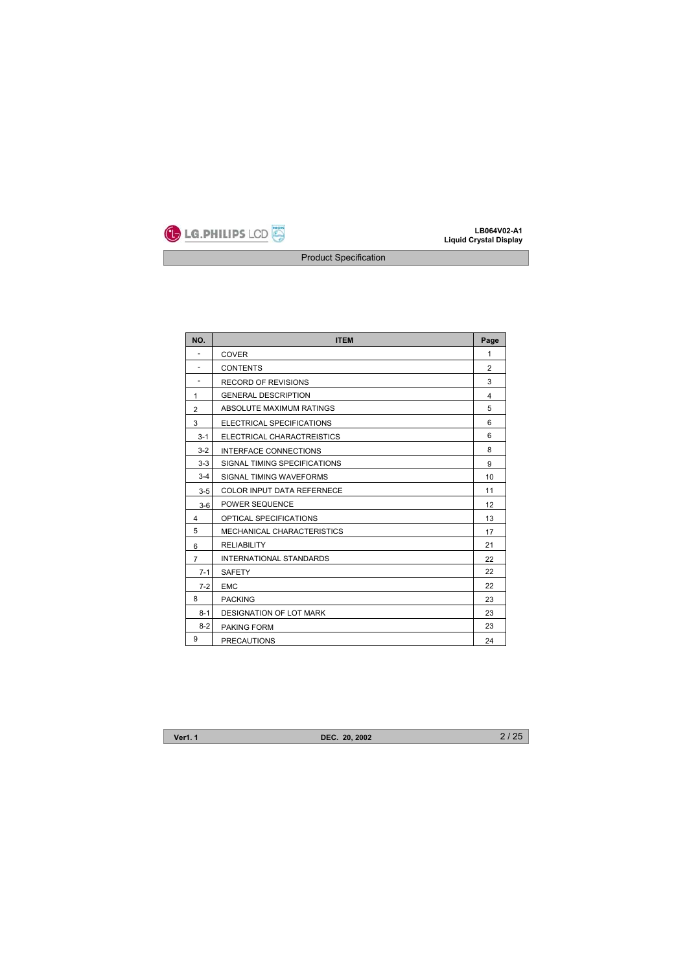

| NO.            | <b>ITEM</b>                    | Page           |
|----------------|--------------------------------|----------------|
| ٠              | <b>COVER</b>                   | $\mathbf{1}$   |
| ٠              | <b>CONTENTS</b>                | $\overline{2}$ |
| ٠              | <b>RECORD OF REVISIONS</b>     | 3              |
| 1              | <b>GENERAL DESCRIPTION</b>     | 4              |
| $\overline{2}$ | ABSOLUTE MAXIMUM RATINGS       | 5              |
| 3              | ELECTRICAL SPECIFICATIONS      | 6              |
| $3 - 1$        | ELECTRICAL CHARACTREISTICS     | 6              |
| $3 - 2$        | INTERFACE CONNECTIONS          | 8              |
| $3 - 3$        | SIGNAL TIMING SPECIFICATIONS   | 9              |
| $3 - 4$        | SIGNAL TIMING WAVEFORMS        | 10             |
| $3 - 5$        | COLOR INPUT DATA REFERNECE     | 11             |
| $3-6$          | POWER SEQUENCE                 | 12             |
| 4              | OPTICAL SPECIFICATIONS         | 13             |
| 5              | MECHANICAL CHARACTERISTICS     | 17             |
| 6              | <b>RELIABILITY</b>             | 21             |
| $\overline{7}$ | <b>INTERNATIONAL STANDARDS</b> | 22             |
| $7 - 1$        | <b>SAFETY</b>                  | 22             |
| $7-2$          | <b>EMC</b>                     | 22             |
| 8              | <b>PACKING</b>                 | 23             |
| $8 - 1$        | <b>DESIGNATION OF LOT MARK</b> | 23             |
| $8-2$          | <b>PAKING FORM</b>             | 23             |
| 9              | <b>PRECAUTIONS</b>             | 24             |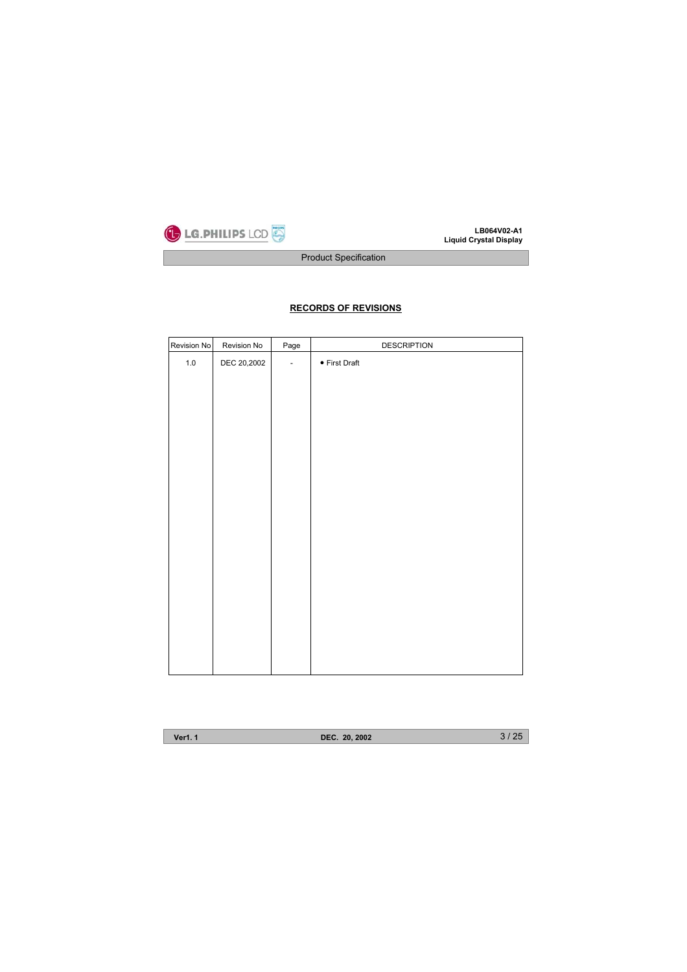

Product Specification

# **RECORDS OF REVISIONS**

| Revision No | Revision No | Page                     | <b>DESCRIPTION</b>    |
|-------------|-------------|--------------------------|-----------------------|
| $1.0\,$     | DEC 20,2002 | $\overline{\phantom{a}}$ | $\bullet$ First Draft |
|             |             |                          |                       |
|             |             |                          |                       |
|             |             |                          |                       |
|             |             |                          |                       |
|             |             |                          |                       |
|             |             |                          |                       |
|             |             |                          |                       |
|             |             |                          |                       |
|             |             |                          |                       |
|             |             |                          |                       |
|             |             |                          |                       |

**Ver1. 1 DEC. 20, 2002**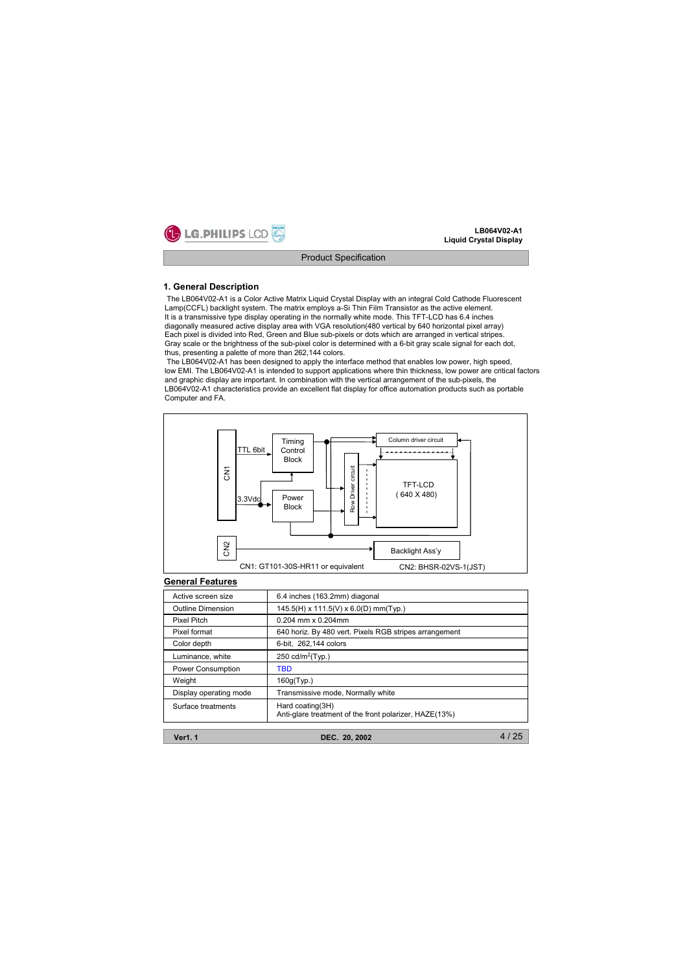

#### **1. General Description**

The LB064V02-A1 is a Color Active Matrix Liquid Crystal Display with an integral Cold Cathode Fluorescent Lamp(CCFL) backlight system. The matrix employs a-Si Thin Film Transistor as the active element. It is a transmissive type display operating in the normally white mode. This TFT-LCD has 6.4 inches diagonally measured active display area with VGA resolution(480 vertical by 640 horizontal pixel array) Each pixel is divided into Red, Green and Blue sub-pixels or dots which are arranged in vertical stripes. Gray scale or the brightness of the sub-pixel color is determined with a 6-bit gray scale signal for each dot, thus, presenting a palette of more than 262,144 colors.

The LB064V02-A1 has been designed to apply the interface method that enables low power, high speed, low EMI. The LB064V02-A1 is intended to support applications where thin thickness, low power are critical factors and graphic display are important. In combination with the vertical arrangement of the sub-pixels, the LB064V02-A1 characteristics provide an excellent flat display for office automation products such as portable Computer and FA.



### **General Features**

| Active screen size     | 6.4 inches (163.2mm) diagonal                                              |  |  |
|------------------------|----------------------------------------------------------------------------|--|--|
| Outline Dimension      | 145.5(H) x 111.5(V) x 6.0(D) mm(Typ.)                                      |  |  |
| Pixel Pitch            | $0.204$ mm x $0.204$ mm                                                    |  |  |
| Pixel format           | 640 horiz. By 480 vert. Pixels RGB stripes arrangement                     |  |  |
| Color depth            | 6-bit. 262.144 colors                                                      |  |  |
| Luminance, white       | 250 cd/m <sup>2</sup> (Typ.)                                               |  |  |
| Power Consumption      | TBD                                                                        |  |  |
| Weight                 | 160g(Typ.)                                                                 |  |  |
| Display operating mode | Transmissive mode, Normally white                                          |  |  |
| Surface treatments     | Hard coating(3H)<br>Anti-glare treatment of the front polarizer, HAZE(13%) |  |  |

**Ver1. 1 DEC. 20, 2002**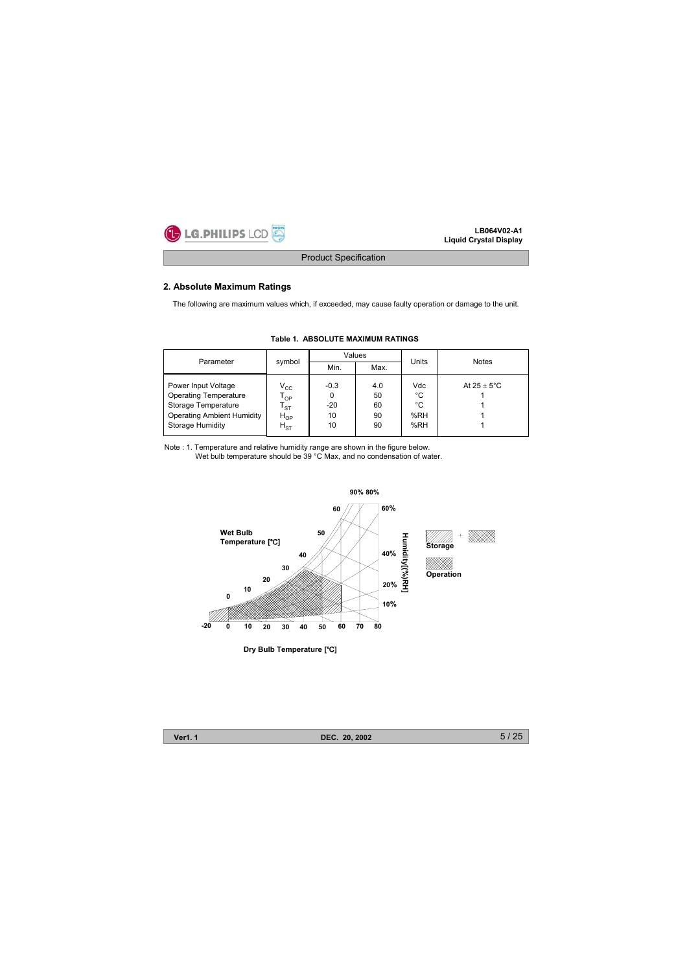

### **2. Absolute Maximum Ratings**

The following are maximum values which, if exceeded, may cause faulty operation or damage to the unit.

| Parameter                                                                                                                                  |                                                                                                  |                                  | Values                      |                               |                       |  |
|--------------------------------------------------------------------------------------------------------------------------------------------|--------------------------------------------------------------------------------------------------|----------------------------------|-----------------------------|-------------------------------|-----------------------|--|
|                                                                                                                                            | symbol                                                                                           | Min.                             | Max.                        | Units                         | <b>Notes</b>          |  |
| Power Input Voltage<br><b>Operating Temperature</b><br>Storage Temperature<br><b>Operating Ambient Humidity</b><br><b>Storage Humidity</b> | $V_{\rm CC}$<br>$\mathsf{T}_{\mathsf{OP}}$<br>$\mathsf{T}_{\texttt{ST}}$<br>$H_{OP}$<br>$H_{ST}$ | $-0.3$<br>0<br>$-20$<br>10<br>10 | 4.0<br>50<br>60<br>90<br>90 | Vdc<br>°C<br>°C<br>%RH<br>%RH | At $25 + 5^{\circ}$ C |  |

### **Table 1. ABSOLUTE MAXIMUM RATINGS**

Note : 1. Temperature and relative humidity range are shown in the figure below. Wet bulb temperature should be 39 °C Max, and no condensation of water.



**Ver1. 1 DEC. 20, 2002**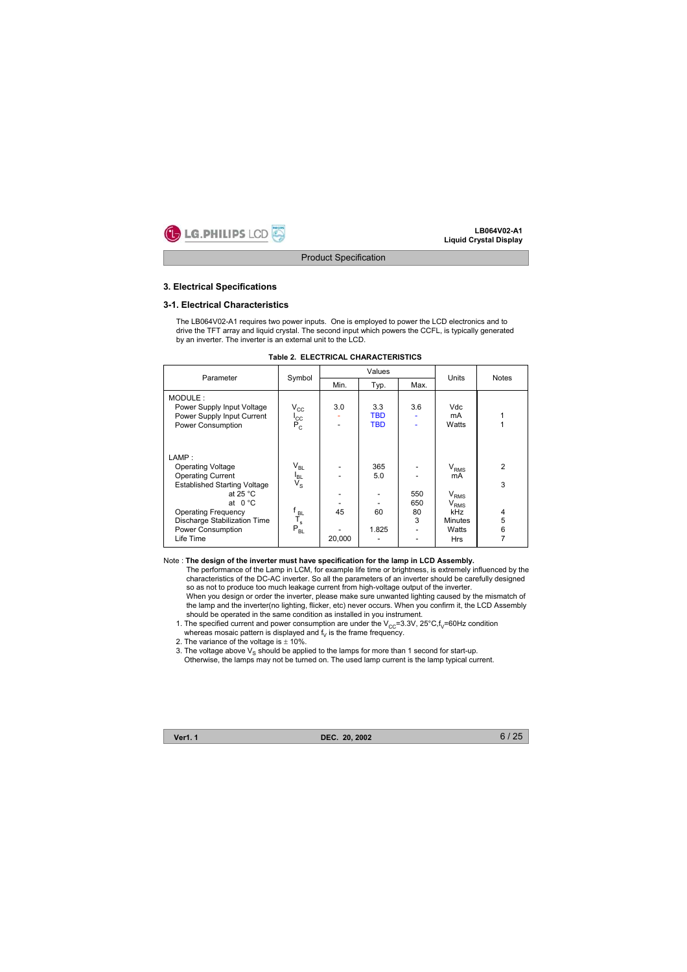

### **3. Electrical Specifications**

#### **3-1. Electrical Characteristics**

The LB064V02-A1 requires two power inputs. One is employed to power the LCD electronics and to drive the TFT array and liquid crystal. The second input which powers the CCFL, is typically generated by an inverter. The inverter is an external unit to the LCD.

| Table 2. ELECTRICAL CHARACTERISTICS |  |
|-------------------------------------|--|
|-------------------------------------|--|

| Parameter                                                                                                                                                                                                                                      | Symbol                                                                            |              | Values<br>Units                 |                       |                                                                                               | <b>Notes</b>                                         |  |
|------------------------------------------------------------------------------------------------------------------------------------------------------------------------------------------------------------------------------------------------|-----------------------------------------------------------------------------------|--------------|---------------------------------|-----------------------|-----------------------------------------------------------------------------------------------|------------------------------------------------------|--|
|                                                                                                                                                                                                                                                |                                                                                   | Min.         | Typ.                            | Max.                  |                                                                                               |                                                      |  |
| MODULE:<br>Power Supply Input Voltage<br>Power Supply Input Current<br>Power Consumption                                                                                                                                                       | $V_{\rm CC}$<br>l <sub>cc</sub><br>P <sub>c</sub>                                 | 3.0          | 3.3<br><b>TBD</b><br><b>TBD</b> | 3.6                   | Vdc<br>mA<br>Watts                                                                            |                                                      |  |
| LAMP:<br><b>Operating Voltage</b><br><b>Operating Current</b><br><b>Established Starting Voltage</b><br>at 25 $^{\circ}$ C<br>at $0^{\circ}$ C<br><b>Operating Frequency</b><br>Discharge Stabilization Time<br>Power Consumption<br>Life Time | $\rm V_{BL}$<br>I <sub>BL</sub><br>$V_{\rm S}$<br>f<br>T <sub>s</sub><br>$P_{BL}$ | 45<br>20,000 | 365<br>5.0<br>60<br>1.825       | 550<br>650<br>80<br>3 | $V_{RMS}$<br>mA<br>$\rm V_{RMS}$<br>$V_{RMS}$<br>kHz<br><b>Minutes</b><br>Watts<br><b>Hrs</b> | $\overline{2}$<br>3<br>4<br>5<br>6<br>$\overline{7}$ |  |

#### Note : **The design of the inverter must have specification for the lamp in LCD Assembly.**

The performance of the Lamp in LCM, for example life time or brightness, is extremely influenced by the characteristics of the DC-AC inverter. So all the parameters of an inverter should be carefully designed so as not to produce too much leakage current from high-voltage output of the inverter. When you design or order the inverter, please make sure unwanted lighting caused by the mismatch of the lamp and the inverter(no lighting, flicker, etc) never occurs. When you confirm it, the LCD Assembly should be operated in the same condition as installed in you instrument.

- 1. The specified current and power consumption are under the  $V_{CC}=3.3V$ ,  $25^{\circ}C$ ,  $f_V=60Hz$  condition whereas mosaic pattern is displayed and  $f_V$  is the frame frequency.
- 2. The variance of the voltage is  $\pm$  10%.
- 3. The voltage above  $V_s$  should be applied to the lamps for more than 1 second for start-up. Otherwise, the lamps may not be turned on. The used lamp current is the lamp typical current.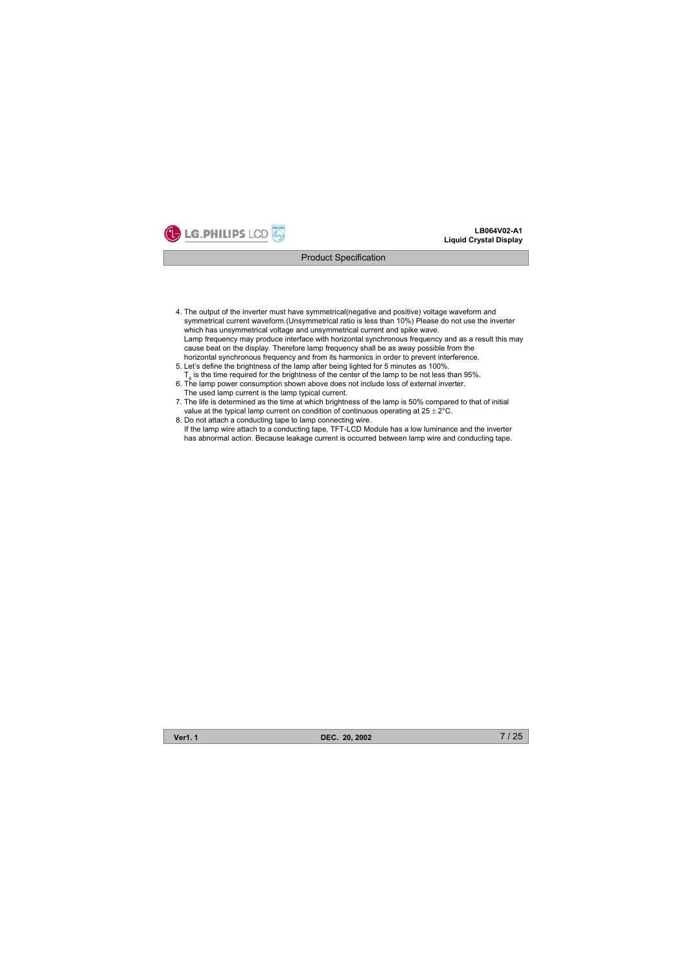

- 4. The output of the inverter must have symmetrical(negative and positive) voltage waveform and symmetrical current waveform.(Unsymmetrical ratio is less than 10%) Please do not use the inverter which has unsymmetrical voltage and unsymmetrical current and spike wave. Lamp frequency may produce interface with horizontal synchronous frequency and as a result this may cause beat on the display. Therefore lamp frequency shall be as away possible from the horizontal synchronous frequency and from its harmonics in order to prevent interference.
- 5. Let's define the brightness of the lamp after being lighted for 5 minutes as 100%.  $T<sub>s</sub>$  is the time required for the brightness of the center of the lamp to be not less than 95%.
- 6. The lamp power consumption shown above does not include loss of external inverter. The used lamp current is the lamp typical current.
- 7. The life is determined as the time at which brightness of the lamp is 50% compared to that of initial value at the typical lamp current on condition of continuous operating at  $25 \pm 2^{\circ}$ C.
- 8. Do not attach a conducting tape to lamp connecting wire. If the lamp wire attach to a conducting tape, TFT-LCD Module has a low luminance and the inverter has abnormal action. Because leakage current is occurred between lamp wire and conducting tape.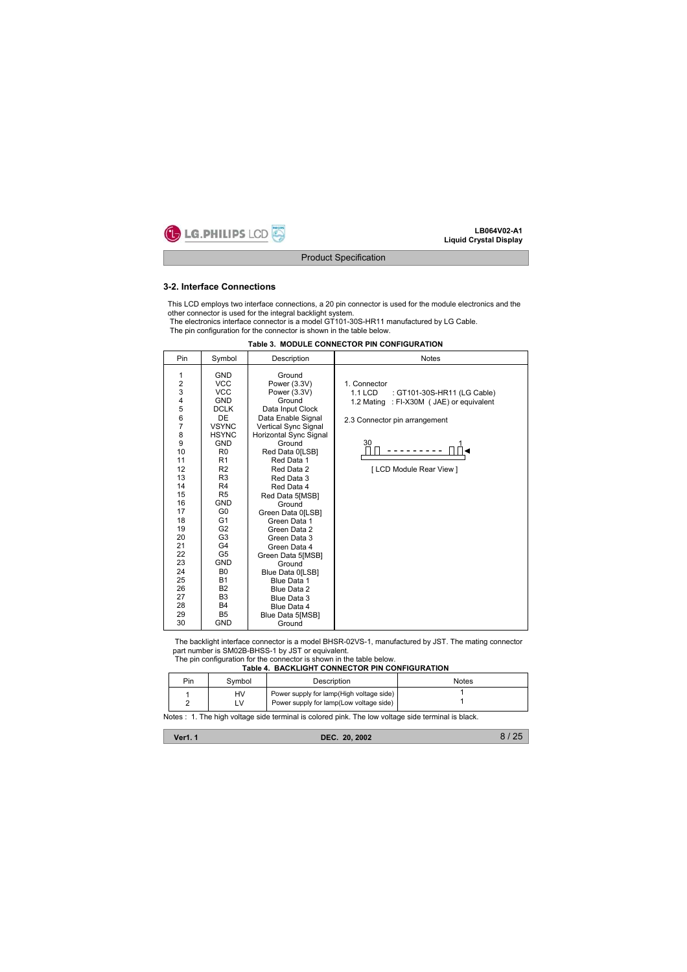

#### **3-2. Interface Connections**

This LCD employs two interface connections, a 20 pin connector is used for the module electronics and the other connector is used for the integral backlight system.

The electronics interface connector is a model GT101-30S-HR11 manufactured by LG Cable. The pin configuration for the connector is shown in the table below.

| Pin                                                                                                                                                                                                               | Symbol                                                                                                                                                                                                                                                                                                                                                                                                                                       | Description                                                                                                                                                                                                                                                                                                                                                                                                                                                                                      | <b>Notes</b>                                                                                                                                                              |
|-------------------------------------------------------------------------------------------------------------------------------------------------------------------------------------------------------------------|----------------------------------------------------------------------------------------------------------------------------------------------------------------------------------------------------------------------------------------------------------------------------------------------------------------------------------------------------------------------------------------------------------------------------------------------|--------------------------------------------------------------------------------------------------------------------------------------------------------------------------------------------------------------------------------------------------------------------------------------------------------------------------------------------------------------------------------------------------------------------------------------------------------------------------------------------------|---------------------------------------------------------------------------------------------------------------------------------------------------------------------------|
| 1<br>$\overline{\mathbf{c}}$<br>3<br>4<br>$\frac{5}{6}$<br>$\overline{7}$<br>8<br>9<br>10<br>11<br>12<br>13<br>14<br>15<br>16<br>17<br>18<br>19<br>20<br>21<br>22<br>23<br>24<br>25<br>26<br>27<br>28<br>29<br>30 | <b>GND</b><br><b>VCC</b><br>VCC.<br><b>GND</b><br><b>DCLK</b><br>DE<br><b>VSYNC</b><br><b>HSYNC</b><br><b>GND</b><br>R <sub>0</sub><br>R <sub>1</sub><br>R2<br>R <sub>3</sub><br>R <sub>4</sub><br>R <sub>5</sub><br><b>GND</b><br>G <sub>0</sub><br>G <sub>1</sub><br>G2<br>G <sub>3</sub><br>G4<br>G <sub>5</sub><br><b>GND</b><br>B <sub>0</sub><br><b>B1</b><br><b>B2</b><br>B <sub>3</sub><br><b>B4</b><br>B <sub>5</sub><br><b>GND</b> | Ground<br>Power (3.3V)<br>Power (3.3V)<br>Ground<br>Data Input Clock<br>Data Enable Signal<br>Vertical Sync Signal<br>Horizontal Sync Signal<br>Ground<br>Red Data 0[LSB]<br>Red Data 1<br>Red Data 2<br>Red Data 3<br>Red Data 4<br>Red Data 5[MSB]<br>Ground<br>Green Data 0[LSB]<br>Green Data 1<br>Green Data 2<br>Green Data 3<br>Green Data 4<br>Green Data 5[MSB]<br>Ground<br>Blue Data 0[LSB]<br>Blue Data 1<br>Blue Data 2<br>Blue Data 3<br>Blue Data 4<br>Blue Data 5[MSB]<br>Ground | 1. Connector<br>1.1 LCD<br>: GT101-30S-HR11 (LG Cable)<br>: FI-X30M ( JAE) or equivalent<br>1.2 Mating<br>2.3 Connector pin arrangement<br>30<br>[ LCD Module Rear View ] |

#### **Table 3. MODULE CONNECTOR PIN CONFIGURATION**

The backlight interface connector is a model BHSR-02VS-1, manufactured by JST. The mating connector part number is SM02B-BHSS-1 by JST or equivalent.

The pin configuration for the connector is shown in the table below.

**Table 4. BACKLIGHT CONNECTOR PIN CONFIGURATION**

| Pin | Svmbol   | Description                                                                         | Notes |
|-----|----------|-------------------------------------------------------------------------------------|-------|
|     | HV<br>LV | Power supply for lamp(High voltage side)<br>Power supply for lamp(Low voltage side) |       |

Notes : 1. The high voltage side terminal is colored pink. The low voltage side terminal is black.

| <b>Ver1.1</b> | DEC. 20, 2002 | 8/25 |
|---------------|---------------|------|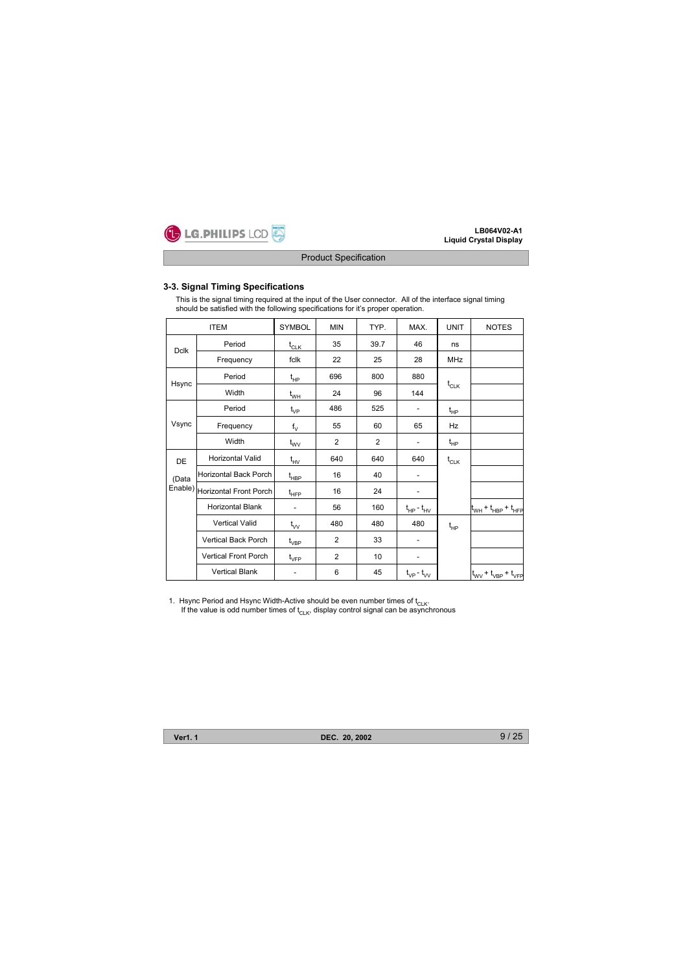

### **3-3. Signal Timing Specifications**

This is the signal timing required at the input of the User connector. All of the interface signal timing should be satisfied with the following specifications for it's proper operation.

|             | <b>ITEM</b>                    | <b>SYMBOL</b>                    | <b>MIN</b>     | TYP.           | MAX.                         | <b>UNIT</b> | <b>NOTES</b>                                          |
|-------------|--------------------------------|----------------------------------|----------------|----------------|------------------------------|-------------|-------------------------------------------------------|
| <b>Dclk</b> | Period                         | $t_{CLK}$                        | 35             | 39.7           | 46                           | ns          |                                                       |
|             | Frequency                      | fclk                             | 22             | 25             | 28                           | <b>MHz</b>  |                                                       |
|             | Period                         | $t_{HP}$                         | 696            | 800            | 880                          |             |                                                       |
| Hsync       | Width                          | $t_{WH}$                         | 24             | 96             | 144                          | $t_{CLK}$   |                                                       |
|             | Period                         | $t_{VP}$                         | 486            | 525            | $\overline{\phantom{m}}$     | $t_{HP}$    |                                                       |
| Vsync       | Frequency                      | $f_V$                            | 55             | 60             | 65                           | Hz          |                                                       |
|             | Width                          | $t_{\text{wV}}$                  | $\overline{2}$ | $\overline{2}$ | $\qquad \qquad \blacksquare$ | $t_{HP}$    |                                                       |
| DE          | <b>Horizontal Valid</b>        | $t_{HV}$                         | 640            | 640            | 640                          | $t_{CLK}$   |                                                       |
| (Data       | Horizontal Back Porch          | $t_{\sf HBP}$                    | 16             | 40             | $\qquad \qquad \blacksquare$ |             |                                                       |
|             | Enable) Horizontal Front Porch | $t_{\scriptscriptstyle \sf HFP}$ | 16             | 24             |                              |             |                                                       |
|             | <b>Horizontal Blank</b>        | $\bar{a}$                        | 56             | 160            | $t_{HP} - t_{HV}$            |             | $ t_{WH} + t_{HBP} + t_{HFP} $                        |
|             | <b>Vertical Valid</b>          | $t_{\mathsf{vv}}$                | 480            | 480            | 480                          | $t_{HP}$    |                                                       |
|             | Vertical Back Porch            | $t_{VBP}$                        | 2              | 33             |                              |             |                                                       |
|             | <b>Vertical Front Porch</b>    | $t_{\text{VFP}}$                 | 2              | 10             | -                            |             |                                                       |
|             | <b>Vertical Blank</b>          |                                  | 6              | 45             | $t_{VP}$ - $t_{VV}$          |             | $t_{\text{WV}}$ + $t_{\text{VBP}}$ + $t_{\text{VFP}}$ |

1. Hsync Period and Hsync Width-Active should be even number times of  $t_{CLK}$ .<br>If the value is odd number times of  $t_{CLK}$ , display control signal can be asynchronous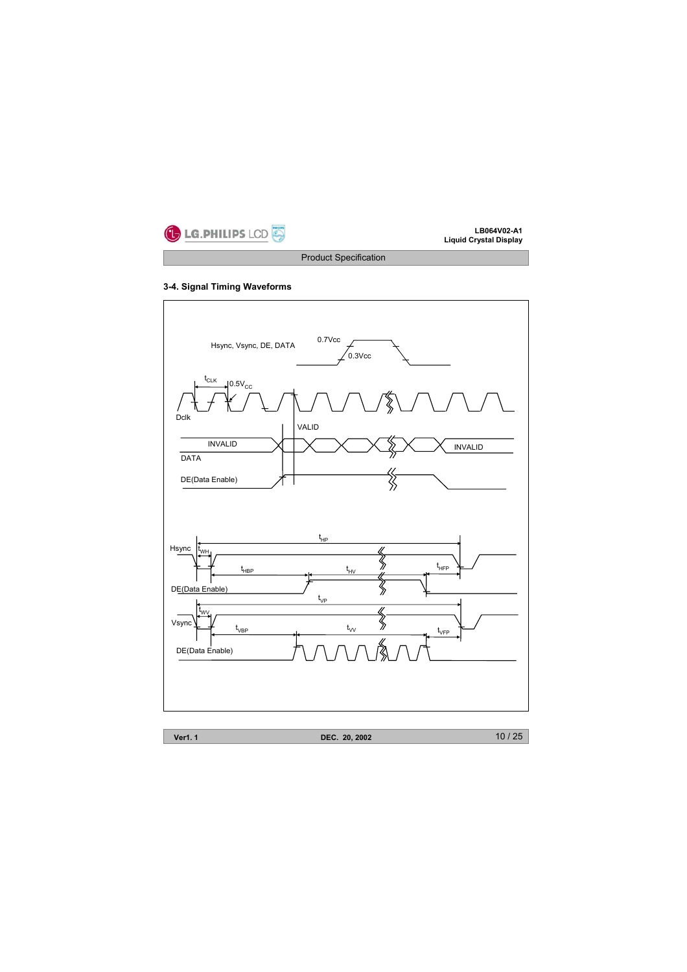

# **3-4. Signal Timing Waveforms**

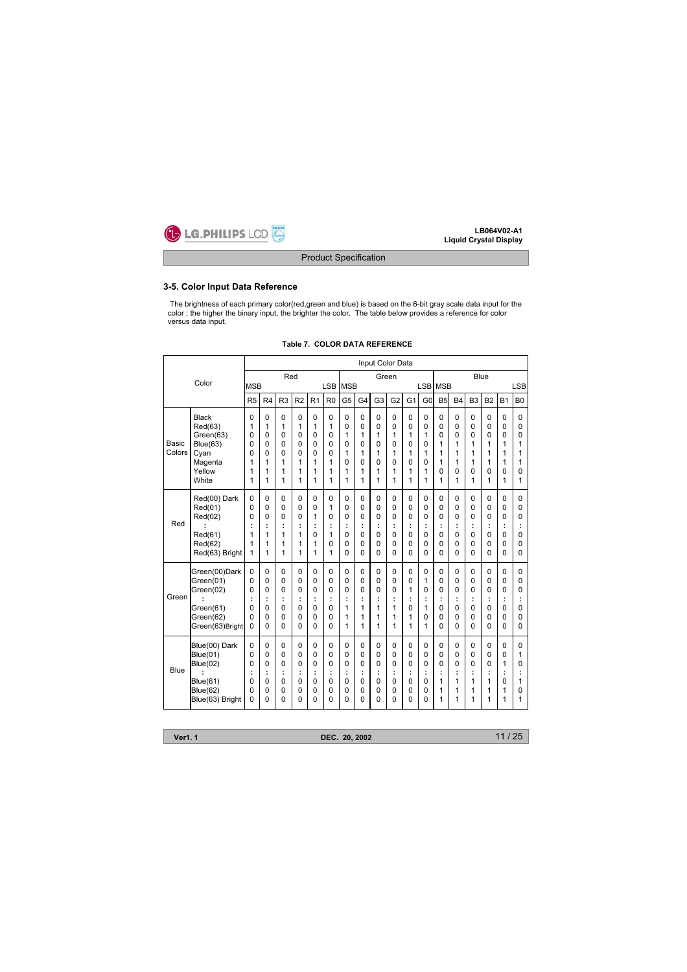

# **3-5. Color Input Data Reference**

The brightness of each primary color(red,green and blue) is based on the 6-bit gray scale data input for the color ; the higher the binary input, the brighter the color. The table below provides a reference for color versus data input.

|                        |                                                                                                       |                                 |                                        |                                               |                                                         |                                        |                                                     |                                                      |                                           | Input Color Data                                            |                                                      |                                                                          |                                                         |                                                      |                                 |                                               |                                                                                                                                                                                                                                                                                                                                                                                                                                                                                                                                                                               |                              |                                        |
|------------------------|-------------------------------------------------------------------------------------------------------|---------------------------------|----------------------------------------|-----------------------------------------------|---------------------------------------------------------|----------------------------------------|-----------------------------------------------------|------------------------------------------------------|-------------------------------------------|-------------------------------------------------------------|------------------------------------------------------|--------------------------------------------------------------------------|---------------------------------------------------------|------------------------------------------------------|---------------------------------|-----------------------------------------------|-------------------------------------------------------------------------------------------------------------------------------------------------------------------------------------------------------------------------------------------------------------------------------------------------------------------------------------------------------------------------------------------------------------------------------------------------------------------------------------------------------------------------------------------------------------------------------|------------------------------|----------------------------------------|
|                        | Color                                                                                                 |                                 |                                        | Red                                           |                                                         |                                        |                                                     |                                                      |                                           | Green                                                       |                                                      |                                                                          |                                                         |                                                      |                                 |                                               |                                                                                                                                                                                                                                                                                                                                                                                                                                                                                                                                                                               |                              |                                        |
|                        |                                                                                                       | <b>MSB</b>                      |                                        |                                               |                                                         |                                        | <b>LSB</b>                                          | <b>MSB</b>                                           |                                           |                                                             |                                                      |                                                                          | LSB MSB                                                 |                                                      |                                 |                                               |                                                                                                                                                                                                                                                                                                                                                                                                                                                                                                                                                                               |                              |                                        |
|                        |                                                                                                       | R <sub>5</sub>                  | R4                                     | R <sub>3</sub>                                | R <sub>2</sub>                                          | R1                                     | R <sub>0</sub>                                      | G <sub>5</sub>                                       | G4                                        | G <sub>3</sub>                                              | G <sub>2</sub>                                       | G <sub>1</sub>                                                           | G <sub>0</sub>                                          | <b>B5</b>                                            | <b>B4</b>                       |                                               |                                                                                                                                                                                                                                                                                                                                                                                                                                                                                                                                                                               |                              | <b>B0</b>                              |
| <b>Basic</b><br>Colors | <b>Black</b><br>Red(63)<br>Green(63)<br>Blue(63)<br>Cyan                                              | 0<br>1<br>0<br>0<br>0           | 0<br>1<br>0<br>0<br>0                  | 0<br>1<br>0<br>0<br>0                         | 0<br>1<br>$\Omega$<br>0<br>0                            | 0<br>1<br>0<br>0<br>0                  | $\mathbf 0$<br>1<br>$\Omega$<br>0<br>0              | 0<br>0<br>1<br>$\Omega$<br>1                         | $\mathbf 0$<br>0<br>1<br>0<br>1           | $\mathbf 0$<br>0<br>1<br>$\Omega$<br>1                      | 0<br>0<br>1<br>0<br>1                                | $\mathbf 0$<br>$\Omega$<br>1<br>$\Omega$<br>1                            | $\mathbf 0$<br>$\Omega$<br>1<br>0<br>1                  | 0<br>$\Omega$<br>$\Omega$<br>1<br>1                  | 0<br>0<br>0<br>1<br>1           | $\mathbf 0$<br>$\Omega$<br>$\Omega$<br>1<br>1 | $\mathbf 0$<br>0<br>$\Omega$<br>1<br>1                                                                                                                                                                                                                                                                                                                                                                                                                                                                                                                                        | 0<br>$\Omega$<br>0<br>1<br>1 | 0<br>0<br>$\Omega$<br>1<br>1           |
|                        | Magenta<br>Yellow<br>White                                                                            | 1<br>1<br>1                     | 1<br>1<br>1                            | 1<br>1<br>1                                   | 1<br>1<br>1                                             | 1<br>1<br>1                            | 1<br>1<br>1                                         | $\Omega$<br>1<br>1                                   | 0<br>1<br>1                               | $\Omega$<br>1<br>1                                          | 0<br>1<br>1                                          | $\Omega$<br>1<br>1                                                       | 0<br>1<br>1                                             | 1<br>$\Omega$<br>1                                   | 1<br>0<br>1                     | 1<br>$\Omega$<br>1                            | Blue<br><b>LSB</b><br>B <sub>3</sub><br>B <sub>2</sub><br><b>B1</b><br>1<br>1<br>$\Omega$<br>0<br>1<br>1<br>0<br>0<br>0<br>$\Omega$<br>$\Omega$<br>0<br>$\Omega$<br>$\Omega$<br>$\Omega$<br>0<br>0<br>0<br>0<br>$\Omega$<br>0<br>$\Omega$<br>0<br>$\Omega$<br>$\Omega$<br>0<br>$\Omega$<br>$\mathbf 0$<br>$\Omega$<br>0<br>0<br>$\Omega$<br>0<br>ċ<br>÷<br>÷<br>$\Omega$<br>0<br>0<br>$\Omega$<br>$\mathbf 0$<br>0<br>0<br>0<br>0<br>$\mathbf 0$<br>$\Omega$<br>$\Omega$<br>$\Omega$<br>0<br>0<br>$\Omega$<br>$\Omega$<br>1<br>÷<br>1<br>0<br>1<br>1<br>1<br>1<br>1<br>1<br>1 | 1<br>$\Omega$<br>1           |                                        |
| Red                    | Red(00) Dark<br>Red(01)<br>Red(02)<br>Red(61)<br>Red(62)<br>Red(63) Bright                            | 0<br>0<br>0<br>÷<br>1<br>1<br>1 | 0<br>0<br>0<br>1<br>1<br>1             | 0<br>$\Omega$<br>$\Omega$<br>÷<br>1<br>1<br>1 | 0<br>0<br>$\Omega$<br>÷<br>1<br>1<br>1                  | 0<br>0<br>1<br>÷<br>0<br>1<br>1        | 0<br>1<br>0<br>÷<br>1<br>0<br>1                     | 0<br>$\Omega$<br>$\Omega$<br>÷<br>0<br>$\Omega$<br>0 | 0<br>0<br>$\Omega$<br>t<br>0<br>0<br>0    | 0<br>$\Omega$<br>$\Omega$<br>İ<br>0<br>$\Omega$<br>$\Omega$ | 0<br>$\Omega$<br>$\Omega$<br>İ<br>$\Omega$<br>0<br>O | $\mathbf 0$<br>$\Omega$<br>$\Omega$<br>÷<br>0<br>$\Omega$<br>0           | $\mathbf 0$<br>$\Omega$<br>$\Omega$<br>İ<br>0<br>0<br>0 | 0<br>0<br>0<br>0<br>0<br>0                           | 0<br>0<br>0<br>÷<br>0<br>0<br>0 |                                               |                                                                                                                                                                                                                                                                                                                                                                                                                                                                                                                                                                               |                              | 0<br>$\Omega$<br>0<br>İ<br>0<br>0<br>0 |
| Green                  | Green(00)Dark<br>Green(01)<br>Green(02)<br>Green(61)<br>Green(62)<br>Green(63)Bright                  | 0<br>0<br>0<br>t<br>0<br>0<br>0 | 0<br>0<br>0<br>÷<br>0<br>0<br>0        | $\mathbf 0$<br>0<br>0<br>÷<br>0<br>0<br>0     | $\Omega$<br>0<br>0<br>÷<br>$\mathbf 0$<br>0<br>$\Omega$ | 0<br>0<br>0<br>Ĩ.<br>0<br>0<br>0       | 0<br>$\mathbf 0$<br>0<br>t<br>0<br>0<br>$\Omega$    | 0<br>$\mathbf 0$<br>0<br>÷<br>1<br>1<br>1            | 0<br>$\mathbf 0$<br>0<br>Ì<br>1<br>1<br>1 | $\mathbf 0$<br>0<br>0<br>÷<br>1<br>1<br>1                   | $\Omega$<br>0<br>0<br>Ĩ.<br>1<br>1<br>1              | $\mathbf 0$<br>0<br>1<br>t<br>0<br>1<br>1                                | 0<br>1<br>0<br>÷<br>1<br>0<br>1                         | $\Omega$<br>$\Omega$<br>0<br>t<br>$\Omega$<br>0<br>0 | 0<br>0<br>0<br>÷<br>0<br>0<br>0 |                                               |                                                                                                                                                                                                                                                                                                                                                                                                                                                                                                                                                                               |                              | 0<br>0<br>0<br>÷<br>0<br>0<br>0        |
| Blue                   | Blue(00) Dark<br><b>Blue(01)</b><br><b>Blue(02)</b><br>Blue(61)<br><b>Blue(62)</b><br>Blue(63) Bright | 0<br>0<br>0<br>t<br>0<br>0<br>0 | $\Omega$<br>0<br>0<br>÷<br>0<br>0<br>0 | 0<br>0<br>0<br>÷<br>0<br>0<br>0               | 0<br>0<br>$\Omega$<br>÷<br>$\Omega$<br>$\Omega$<br>0    | 0<br>0<br>0<br>÷<br>0<br>$\Omega$<br>0 | $\mathbf 0$<br>0<br>0<br>t<br>$\mathbf 0$<br>0<br>0 | 0<br>0<br>$\Omega$<br>÷<br>0<br>$\Omega$<br>$\Omega$ | 0<br>0<br>0<br>t<br>0<br>0<br>0           | $\mathbf 0$<br>0<br>0<br>İ<br>0<br>0<br>0                   | $\Omega$<br>0<br>$\Omega$<br>÷<br>$\Omega$<br>0<br>0 | $\mathbf 0$<br>0<br>$\Omega$<br>÷<br>$\mathbf 0$<br>$\Omega$<br>$\Omega$ | $\mathbf 0$<br>0<br>$\Omega$<br>Ì<br>$\Omega$<br>0<br>0 | $\Omega$<br>0<br>$\Omega$<br>İ<br>1<br>1<br>1        | 0<br>0<br>0<br>÷<br>1<br>1<br>1 |                                               |                                                                                                                                                                                                                                                                                                                                                                                                                                                                                                                                                                               |                              | 0<br>1<br>0<br>1<br>0<br>1             |

# **Table 7. COLOR DATA REFERENCE**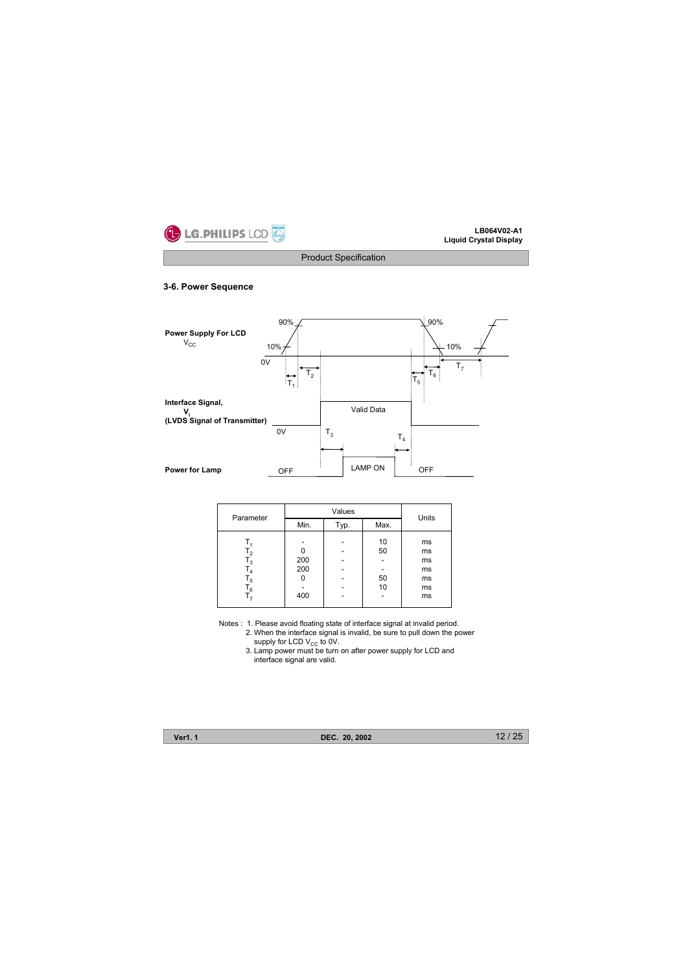

# **3-6. Power Sequence**



| Parameter  |                   | Units |                      |                                        |
|------------|-------------------|-------|----------------------|----------------------------------------|
|            | Min.              | Typ.  | Max.                 |                                        |
| 5 ا<br>6 ا | 200<br>200<br>400 |       | 10<br>50<br>50<br>10 | ms<br>ms<br>ms<br>ms<br>ms<br>ms<br>ms |

Notes : 1. Please avoid floating state of interface signal at invalid period.

2. When the interface signal is invalid, be sure to pull down the power<br>supply for LCD V<sub>CC</sub> to 0V.<br>3. Lamp power must be turn on after power supply for LCD and

interface signal are valid.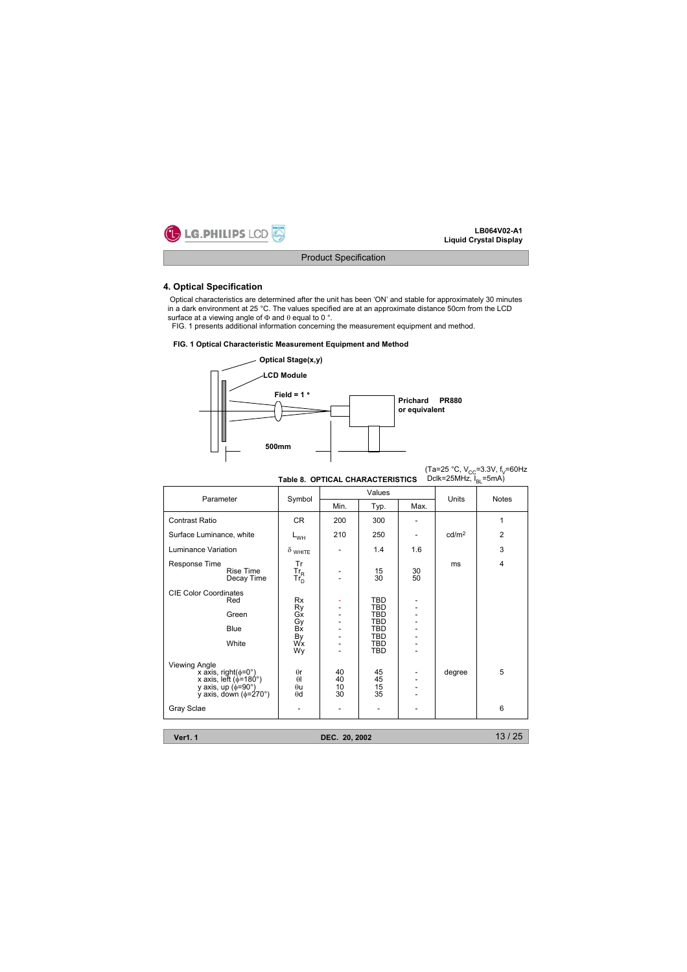

### **4. Optical Specification**

Optical characteristics are determined after the unit has been 'ON' and stable for approximately 30 minutes in a dark environment at 25 °C. The values specified are at an approximate distance 50cm from the LCD surface at a viewing angle of  $\Phi$  and  $\theta$  equal to 0 °.

FIG. 1 presents additional information concerning the measurement equipment and method.

#### **FIG. 1 Optical Characteristic Measurement Equipment and Method**



|                                                                                                                                                        | Table 8. OPTICAL CHARACTERISTICS                          |                      |                                                                                                              |          | Dclk=25MHz, $I_{\text{B}}$ =5mA) | (Ta=25 °C, V <sub>cc</sub> =3.3V, f <sub>v</sub> =60Hz |
|--------------------------------------------------------------------------------------------------------------------------------------------------------|-----------------------------------------------------------|----------------------|--------------------------------------------------------------------------------------------------------------|----------|----------------------------------|--------------------------------------------------------|
| Parameter                                                                                                                                              | Symbol                                                    | Values               |                                                                                                              |          |                                  | <b>Notes</b>                                           |
|                                                                                                                                                        |                                                           | Min.                 | Typ.                                                                                                         | Max.     | Units                            |                                                        |
| Contrast Ratio                                                                                                                                         | <b>CR</b>                                                 | 200                  | 300                                                                                                          |          |                                  | 1                                                      |
| Surface Luminance, white                                                                                                                               | $L_{WH}$                                                  | 210                  | 250                                                                                                          |          | cd/m <sup>2</sup>                | $\overline{2}$                                         |
| Luminance Variation                                                                                                                                    | $\delta$ white                                            |                      | 1.4                                                                                                          | 1.6      |                                  | 3                                                      |
| Response Time<br>Rise Time<br>Decay Time                                                                                                               | Tr<br>$\frac{\text{Tr}_{\text{R}}}{\text{Tr}_{\text{D}}}$ |                      | 15<br>30                                                                                                     | 30<br>50 | ms                               | $\overline{4}$                                         |
| <b>CIE Color Coordinates</b><br>Red<br>Green<br>Blue<br>White                                                                                          | <b>Rx</b><br>Ry<br>Gx<br>Gy<br>Bx<br>By<br>Wx<br>Wy       |                      | <b>TBD</b><br><b>TBD</b><br><b>TBD</b><br><b>TBD</b><br><b>TBD</b><br><b>TBD</b><br><b>TBD</b><br><b>TBD</b> |          |                                  |                                                        |
| <b>Viewing Angle</b><br>x axis, right( $\phi$ =0°)<br>x axis, left ( $\phi$ =180°)<br>y axis, up ( $\phi$ =90°)<br>y axis, down $(\phi = 270^{\circ})$ | $\theta$ r<br>$\theta$<br>$\theta$ u<br>$\theta$ d        | 40<br>40<br>10<br>30 | 45<br>$^{45}_{15}$<br>35                                                                                     |          | degree                           | 5                                                      |
| Gray Sclae                                                                                                                                             |                                                           |                      |                                                                                                              |          |                                  | 6                                                      |

**Ver1. 1 DEC. 20, 2002**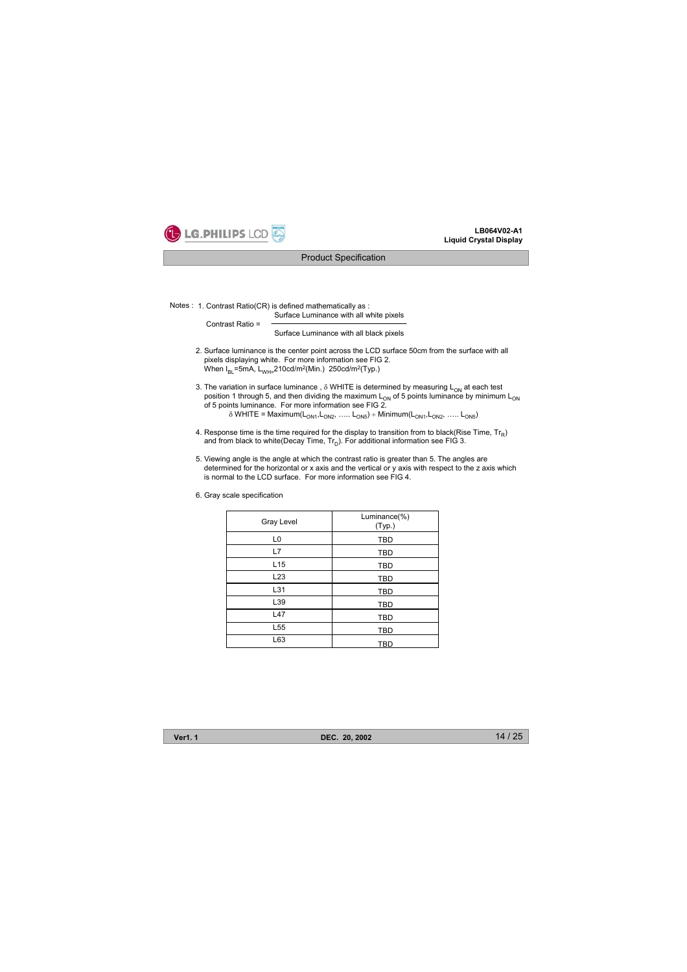

#### Product Specification

Notes : 1. Contrast Ratio(CR) is defined mathematically as :

Surface Luminance with all white pixels Contrast Ratio =

Surface Luminance with all black pixels

- 2. Surface luminance is the center point across the LCD surface 50cm from the surface with all pixels displaying white. For more information see FIG 2. When  $I_{BL}$ =5mA, L<sub>WH=</sub>210cd/m<sup>2</sup>(Min.) 250cd/m<sup>2</sup>(Typ.)
- 3. The variation in surface luminance,  $\delta$  WHITE is determined by measuring L<sub>ON</sub> at each test position 1 through 5, and then dividing the maximum  $L_{ON}$  of 5 points luminance by minimum  $L_{ON}$ of 5 points luminance. For more information see FIG 2.  $\delta$  WHITE = Maximum(L<sub>ON1</sub>,L<sub>ON2</sub>, ….. L<sub>ON5</sub>) ÷ Minimum(L<sub>ON1</sub>,L<sub>ON2</sub>, ….. L<sub>ON5</sub>)
- 4. Response time is the time required for the display to transition from to black(Rise Time,  $Tr_R$ ) and from black to white(Decay Time,  $Tr_D$ ). For additional information see FIG 3.
- 5. Viewing angle is the angle at which the contrast ratio is greater than 5. The angles are determined for the horizontal or x axis and the vertical or y axis with respect to the z axis which is normal to the LCD surface. For more information see FIG 4.
- 6. Gray scale specification

| Gray Level      | Luminance(%)<br>(Typ.) |
|-----------------|------------------------|
| L <sub>0</sub>  | <b>TBD</b>             |
| L7              | <b>TBD</b>             |
| L <sub>15</sub> | <b>TBD</b>             |
| L <sub>23</sub> | <b>TBD</b>             |
| L31             | <b>TBD</b>             |
| L39             | <b>TBD</b>             |
| L47             | <b>TBD</b>             |
| L <sub>55</sub> | <b>TBD</b>             |
| L63             | <b>TBD</b>             |

**Ver1. 1 DEC. 20, 2002**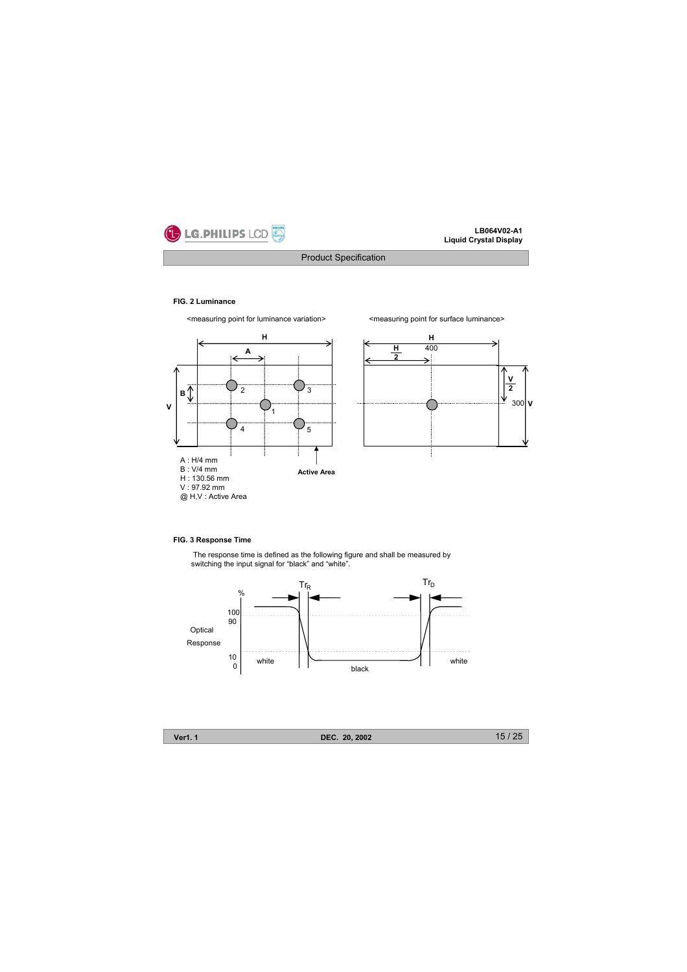

# Product Specification

#### **FIG. 2 Luminance**







### **FIG. 3 Response Time**

The response time is defined as the following figure and shall be measured by switching the input signal for "black" and "white".





**Ver1. 1 DEC. 20, 2002**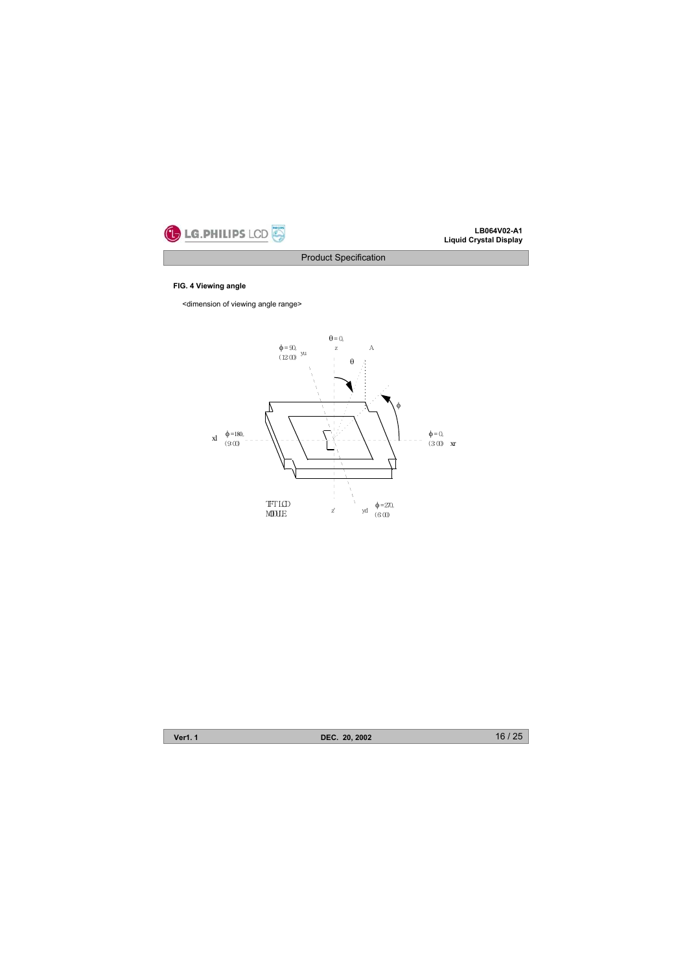

Product Specification

# **FIG. 4 Viewing angle**

<dimension of viewing angle range>



**Ver1. 1 DEC. 20, 2002**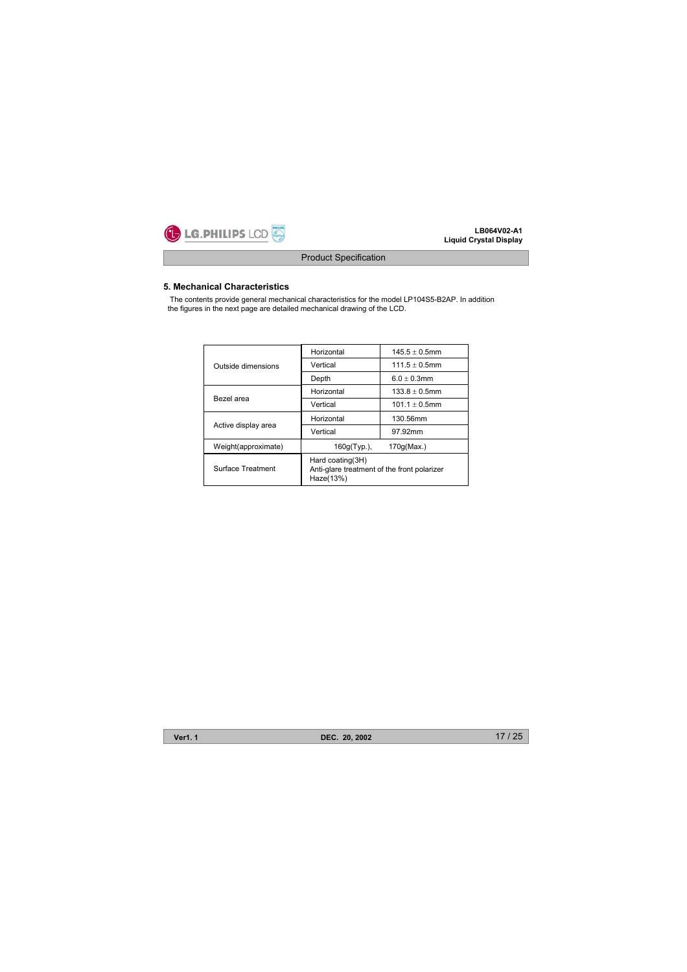

# Product Specification

# **5. Mechanical Characteristics**

The contents provide general mechanical characteristics for the model LP104S5-B2AP. In addition the figures in the next page are detailed mechanical drawing of the LCD.

|                     | Horizontal                                                                   | $145.5 + 0.5$ mm |  |  |  |  |
|---------------------|------------------------------------------------------------------------------|------------------|--|--|--|--|
| Outside dimensions  | Vertical                                                                     | $111.5 + 0.5$ mm |  |  |  |  |
|                     | Depth                                                                        | $6.0 + 0.3$ mm   |  |  |  |  |
|                     | Horizontal                                                                   | $133.8 + 0.5$ mm |  |  |  |  |
| Bezel area          | Vertical                                                                     | $101.1 + 0.5$ mm |  |  |  |  |
|                     | Horizontal                                                                   | 130.56mm         |  |  |  |  |
| Active display area | Vertical                                                                     | 97.92mm          |  |  |  |  |
| Weight(approximate) | 160g(Typ.),                                                                  | 170q(Max.)       |  |  |  |  |
| Surface Treatment   | Hard coating(3H)<br>Anti-glare treatment of the front polarizer<br>Haze(13%) |                  |  |  |  |  |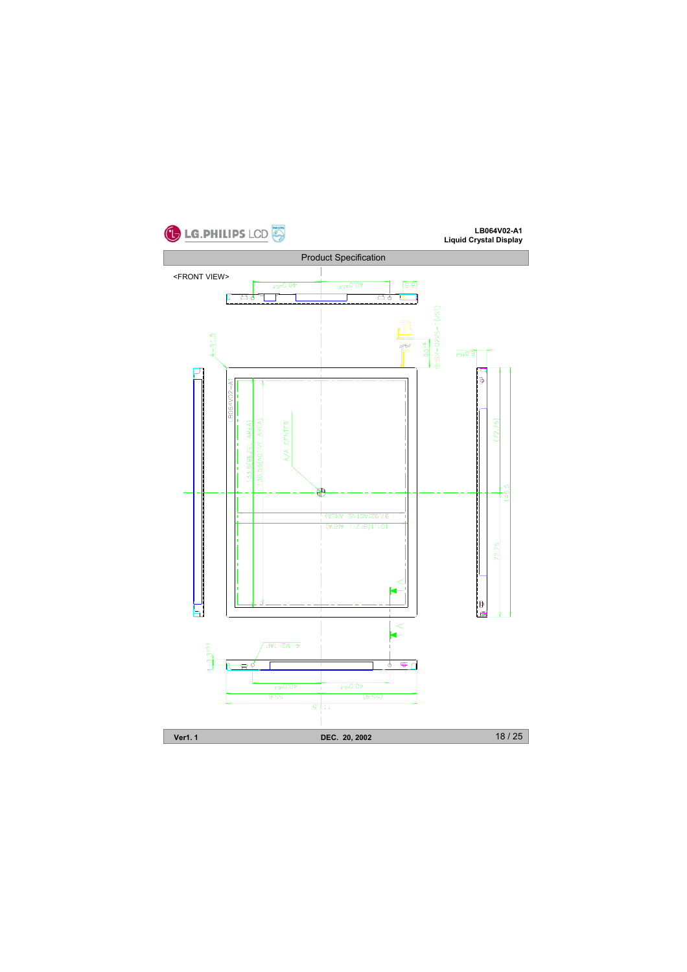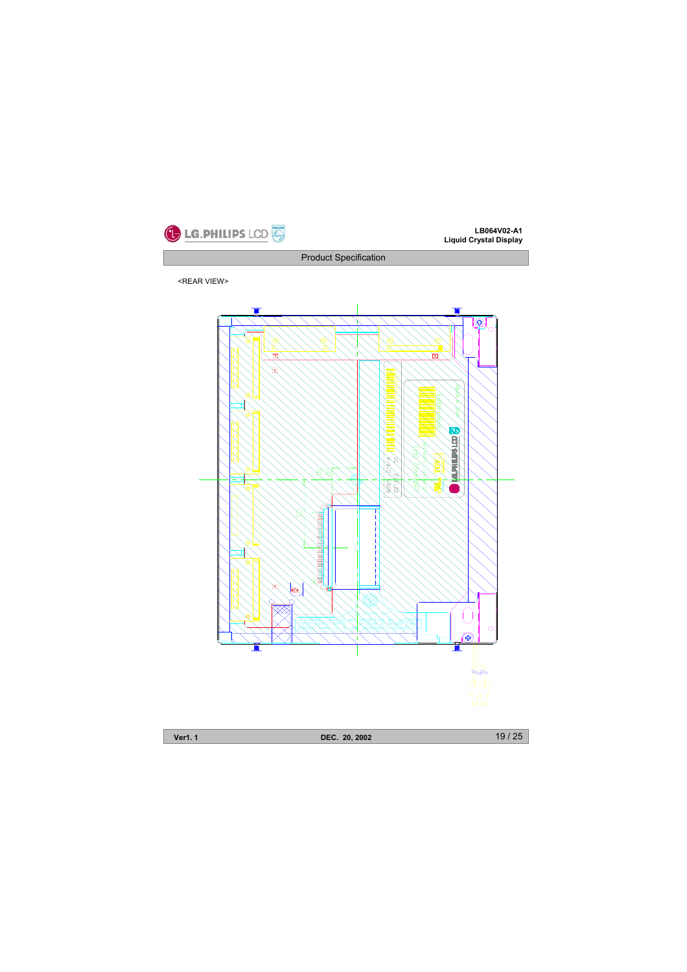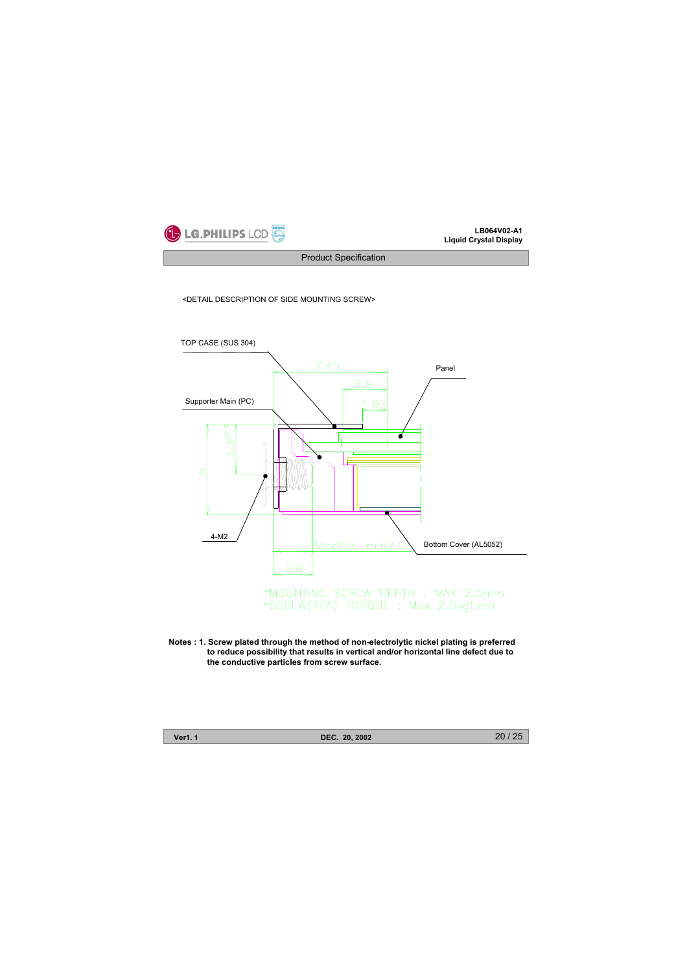

Product Specification

<DETAIL DESCRIPTION OF SIDE MOUNTING SCREW>



**Notes : 1. Screw plated through the method of non-electrolytic nickel plating is preferred to reduce possibility that results in vertical and/or horizontal line defect due to the conductive particles from screw surface.** 

**Ver1. 1 DEC. 20, 2002**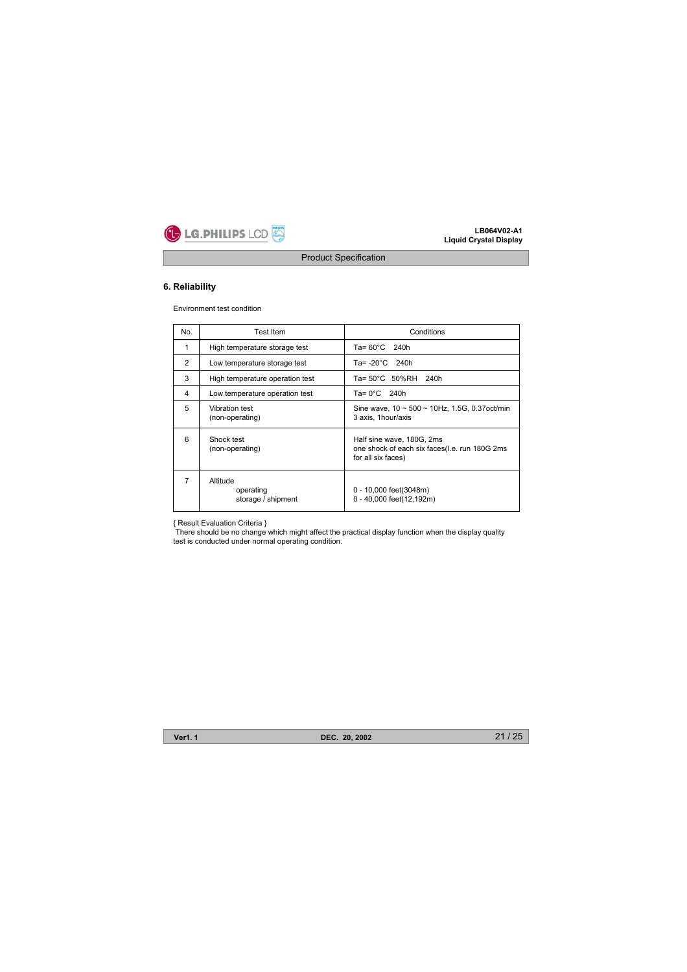

# **6. Reliability**

Environment test condition

| No. | <b>Test Item</b>                            | Conditions                                                                                       |
|-----|---------------------------------------------|--------------------------------------------------------------------------------------------------|
| 1   | High temperature storage test               | $Ta = 60^{\circ}C$ 240h                                                                          |
| 2   | Low temperature storage test                | Ta= $-20^{\circ}$ C 240h                                                                         |
| 3   | High temperature operation test             | Ta= 50°C 50%RH 240h                                                                              |
| 4   | Low temperature operation test              | Ta= $0^{\circ}$ C 240h                                                                           |
| 5   | Vibration test<br>(non-operating)           | Sine wave, $10 \sim 500 \sim 10$ Hz, 1.5G, 0.37 oct/min<br>3 axis. 1hour/axis                    |
| 6   | Shock test<br>(non-operating)               | Half sine wave, 180G, 2ms<br>one shock of each six faces(I.e. run 180G 2ms<br>for all six faces) |
| 7   | Altitude<br>operating<br>storage / shipment | 0 - 10,000 feet(3048m)<br>0 - 40,000 feet(12,192m)                                               |

{ Result Evaluation Criteria } There should be no change which might affect the practical display function when the display quality test is conducted under normal operating condition.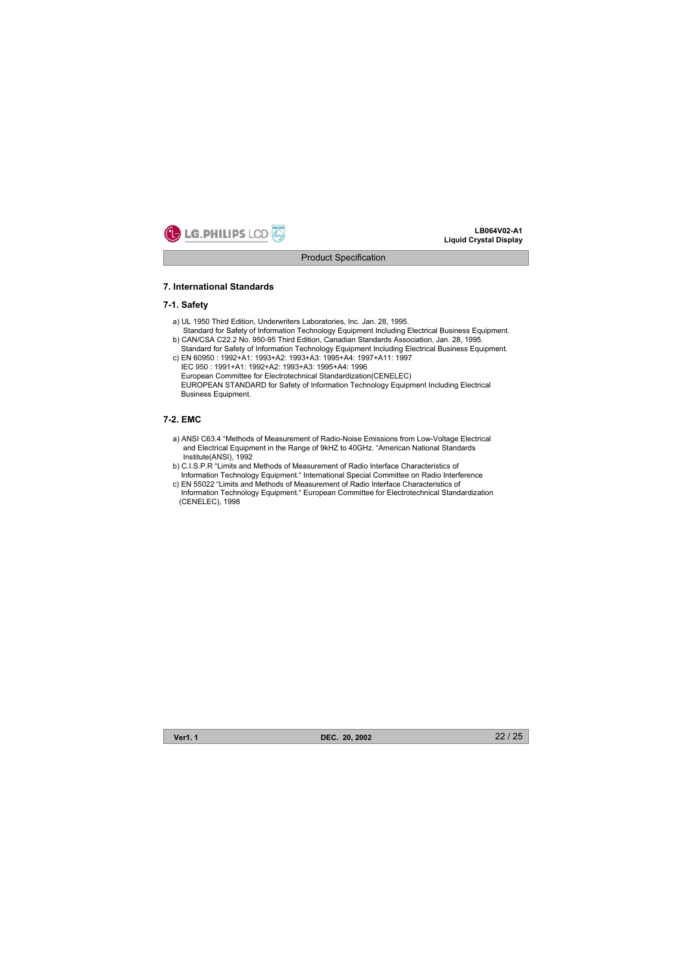

#### **7. International Standards**

# **7-1. Safety**

- a) UL 1950 Third Edition, Underwriters Laboratories, Inc. Jan. 28, 1995. Standard for Safety of Information Technology Equipment Including Electrical Business Equipment.
- b) CAN/CSA C22.2 No. 950-95 Third Edition, Canadian Standards Association, Jan. 28, 1995. Standard for Safety of Information Technology Equipment Including Electrical Business Equipment. c) EN 60950 : 1992+A1: 1993+A2: 1993+A3: 1995+A4: 1997+A11: 1997
- IEC 950 : 1991+A1: 1992+A2: 1993+A3: 1995+A4: 1996 European Committee for Electrotechnical Standardization(CENELEC) EUROPEAN STANDARD for Safety of Information Technology Equipment Including Electrical Business Equipment.

# **7-2. EMC**

- a) ANSI C63.4 "Methods of Measurement of Radio-Noise Emissions from Low-Voltage Electrical and Electrical Equipment in the Range of 9kHZ to 40GHz. "American National Standards Institute(ANSI), 1992
- b) C.I.S.P.R "Limits and Methods of Measurement of Radio Interface Characteristics of Information Technology Equipment." International Special Committee on Radio Interference
- c) EN 55022 "Limits and Methods of Measurement of Radio Interface Characteristics of Information Technology Equipment." European Committee for Electrotechnical Standardization (CENELEC), 1998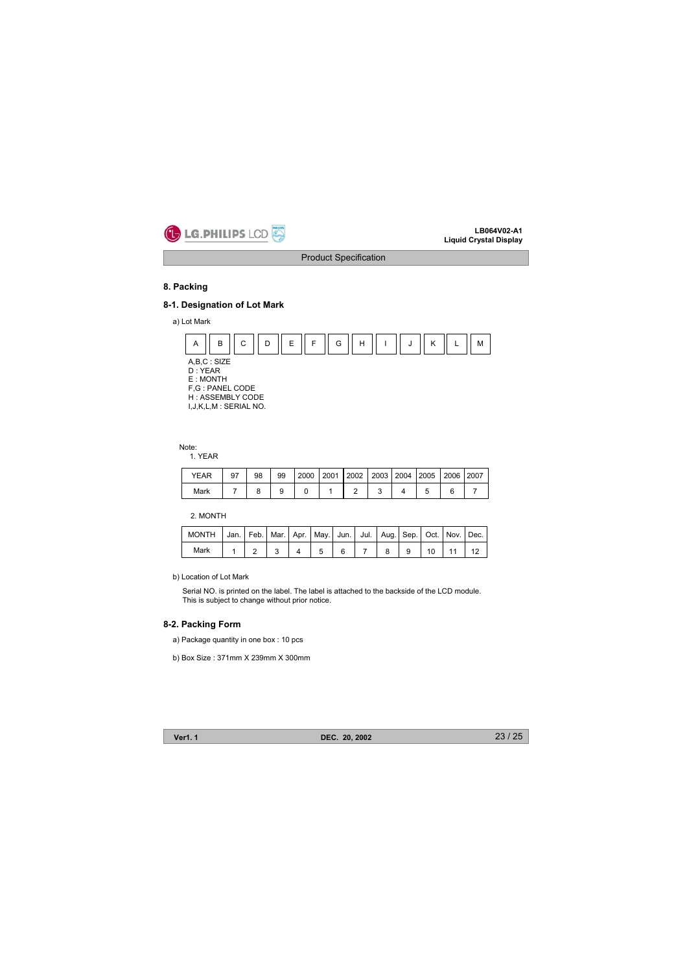

# **8. Packing**

# **8-1. Designation of Lot Mark**

a) Lot Mark



Note:

1. YEAR

| YEAR | <b>Q7</b> | 98 | 99 | 2000 | 2001 | 2002   2003   2004   2005   2006   2007 |  |  |  |
|------|-----------|----|----|------|------|-----------------------------------------|--|--|--|
| Mark |           |    |    |      |      |                                         |  |  |  |

2. MONTH

| MONTH   Jan.   Feb.   Mar.   Apr.   May.   Jun.   Jul.   Aug.   Sep.   Oct.   Nov.   Dec. |  |  |  |  |  |  |
|-------------------------------------------------------------------------------------------|--|--|--|--|--|--|
| Mark                                                                                      |  |  |  |  |  |  |

b) Location of Lot Mark

Serial NO. is printed on the label. The label is attached to the backside of the LCD module. This is subject to change without prior notice.

## **8-2. Packing Form**

- a) Package quantity in one box : 10 pcs
- b) Box Size : 371mm X 239mm X 300mm

**Ver1. 1 DEC. 20, 2002**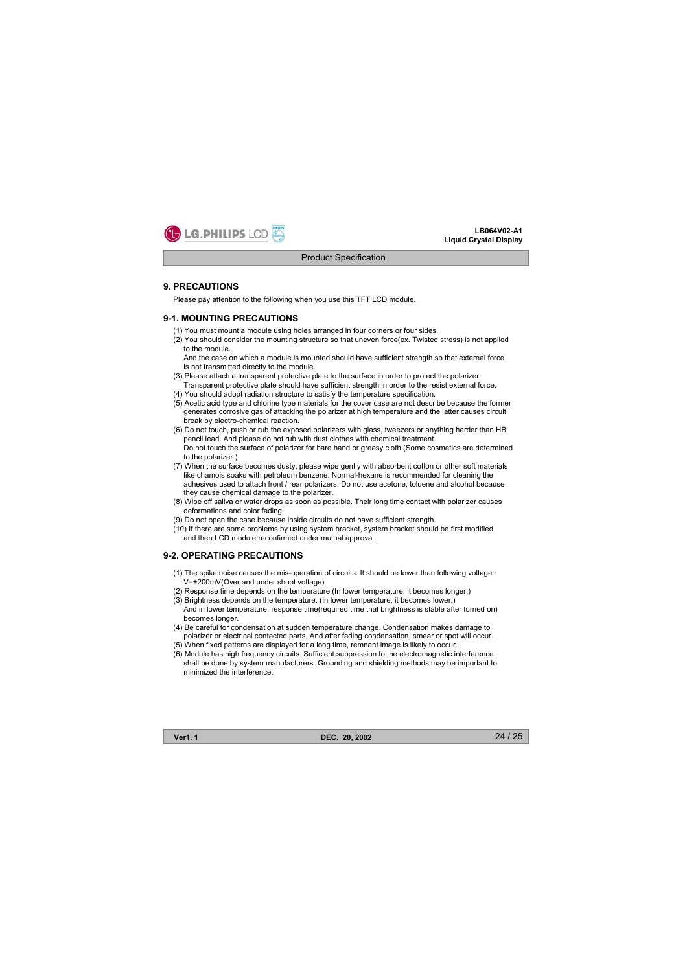

#### **9. PRECAUTIONS**

Please pay attention to the following when you use this TFT LCD module.

#### **9-1. MOUNTING PRECAUTIONS**

- (1) You must mount a module using holes arranged in four corners or four sides.
- (2) You should consider the mounting structure so that uneven force(ex. Twisted stress) is not applied to the module.

And the case on which a module is mounted should have sufficient strength so that external force is not transmitted directly to the module.

- (3) Please attach a transparent protective plate to the surface in order to protect the polarizer. Transparent protective plate should have sufficient strength in order to the resist external force.
- (4) You should adopt radiation structure to satisfy the temperature specification.
- (5) Acetic acid type and chlorine type materials for the cover case are not describe because the former generates corrosive gas of attacking the polarizer at high temperature and the latter causes circuit break by electro-chemical reaction.
- (6) Do not touch, push or rub the exposed polarizers with glass, tweezers or anything harder than HB pencil lead. And please do not rub with dust clothes with chemical treatment. Do not touch the surface of polarizer for bare hand or greasy cloth.(Some cosmetics are determined to the polarizer.)
- (7) When the surface becomes dusty, please wipe gently with absorbent cotton or other soft materials like chamois soaks with petroleum benzene. Normal-hexane is recommended for cleaning the adhesives used to attach front / rear polarizers. Do not use acetone, toluene and alcohol because they cause chemical damage to the polarizer.
- (8) Wipe off saliva or water drops as soon as possible. Their long time contact with polarizer causes deformations and color fading.
- (9) Do not open the case because inside circuits do not have sufficient strength.
- (10) If there are some problems by using system bracket, system bracket should be first modified and then LCD module reconfirmed under mutual approval .

# **9-2. OPERATING PRECAUTIONS**

- (1) The spike noise causes the mis-operation of circuits. It should be lower than following voltage : V= $\pm$ 200mV(Over and under shoot voltage)
- (2) Response time depends on the temperature.(In lower temperature, it becomes longer.)
- (3) Brightness depends on the temperature. (In lower temperature, it becomes lower.) And in lower temperature, response time(required time that brightness is stable after turned on) becomes longer.
- (4) Be careful for condensation at sudden temperature change. Condensation makes damage to polarizer or electrical contacted parts. And after fading condensation, smear or spot will occur. (5) When fixed patterns are displayed for a long time, remnant image is likely to occur.
- (6) Module has high frequency circuits. Sufficient suppression to the electromagnetic interference shall be done by system manufacturers. Grounding and shielding methods may be important to

minimized the interference.